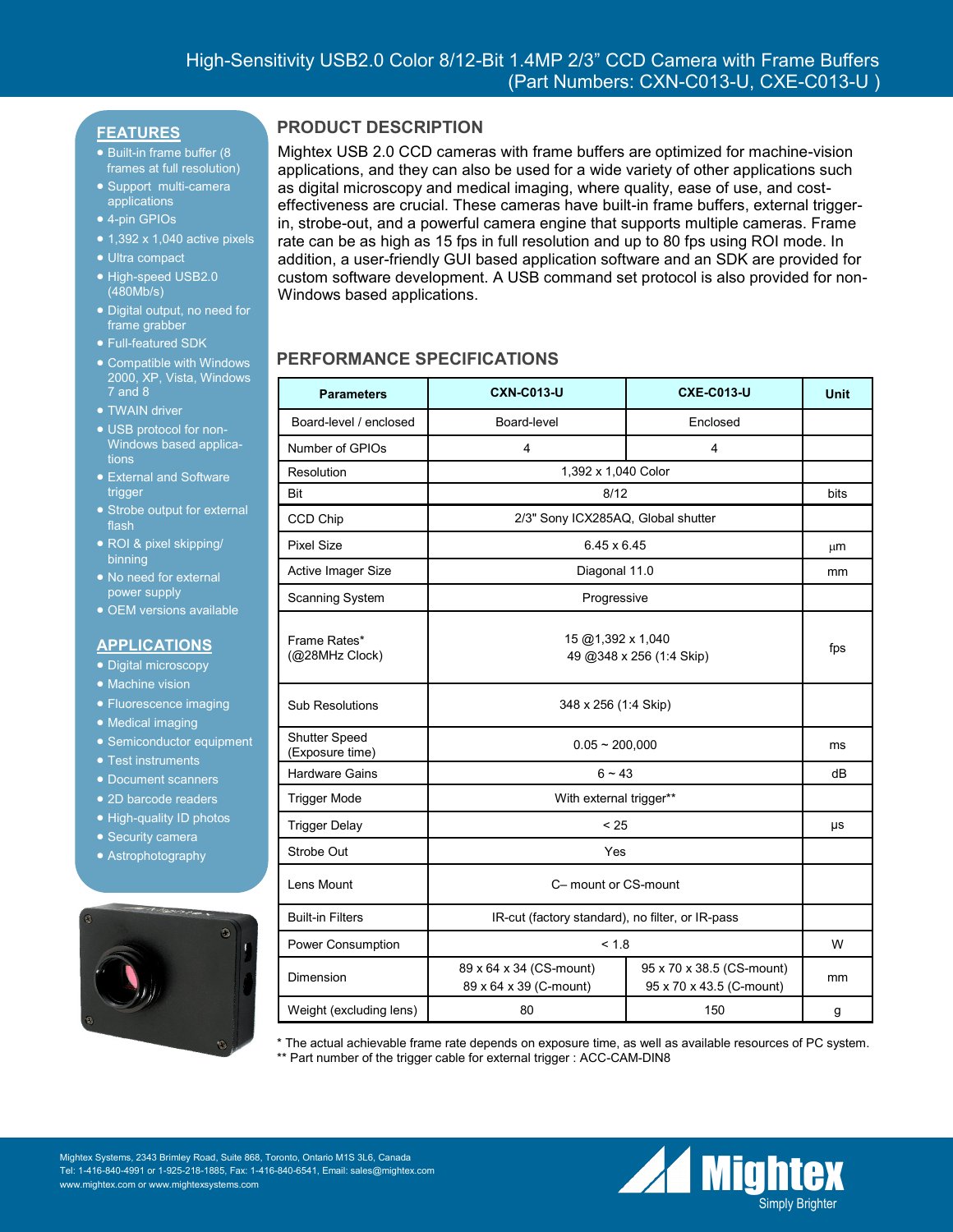### **FEATURES**

- Built-in frame buffer (8) frames at full resolution)
- Support multi-camera applications
- 4-pin GPIOs
- $\bullet$  1,392 x 1,040 active pixels
- Ultra compact
- High-speed USB2.0 (480Mb/s)
- Digital output, no need for frame grabber
- Full-featured SDK
- Compatible with Windows 2000, XP, Vista, Windows 7 and 8
- **TWAIN driver**
- USB protocol for non-Windows based applications
- External and Software trigger
- Strobe output for external flash
- ROI & pixel skipping/ binning
- No need for external power supply
- OEM versions available

#### **APPLICATIONS**

- Digital microscopy
- Machine vision
- **Fluorescence imaging**
- Medical imaging
- Semiconductor equipment
- Test instruments
- Document scanners
- 2D barcode readers
- High-quality ID photos
- Security camera
- Astrophotography



### **PRODUCT DESCRIPTION**

Mightex USB 2.0 CCD cameras with frame buffers are optimized for machine-vision applications, and they can also be used for a wide variety of other applications such as digital microscopy and medical imaging, where quality, ease of use, and costeffectiveness are crucial. These cameras have built-in frame buffers, external triggerin, strobe-out, and a powerful camera engine that supports multiple cameras. Frame rate can be as high as 15 fps in full resolution and up to 80 fps using ROI mode. In addition, a user-friendly GUI based application software and an SDK are provided for custom software development. A USB command set protocol is also provided for non-Windows based applications.

## **PERFORMANCE SPECIFICATIONS**

| <b>Parameters</b>                | <b>CXN-C013-U</b>                                 | <b>CXE-C013-U</b>                                     | <b>Unit</b> |
|----------------------------------|---------------------------------------------------|-------------------------------------------------------|-------------|
| Board-level / enclosed           | Board-level                                       | Enclosed                                              |             |
| Number of GPIOs                  | $\overline{4}$                                    | $\overline{\mathbf{4}}$                               |             |
| Resolution                       | 1,392 x 1,040 Color                               |                                                       |             |
| Bit                              | 8/12                                              |                                                       | bits        |
| CCD Chip                         | 2/3" Sony ICX285AQ, Global shutter                |                                                       |             |
| <b>Pixel Size</b>                | 6.45 x 6.45                                       |                                                       | μm          |
| Active Imager Size               | Diagonal 11.0                                     |                                                       | mm          |
| <b>Scanning System</b>           | Progressive                                       |                                                       |             |
| Frame Rates*<br>(@28MHz Clock)   | 15 @1,392 x 1,040<br>49 @348 x 256 (1:4 Skip)     |                                                       | fps         |
| <b>Sub Resolutions</b>           | 348 x 256 (1:4 Skip)                              |                                                       |             |
| Shutter Speed<br>(Exposure time) | $0.05 - 200,000$                                  |                                                       | ms          |
| <b>Hardware Gains</b>            | $6 - 43$                                          |                                                       | dB          |
| <b>Trigger Mode</b>              | With external trigger**                           |                                                       |             |
| <b>Trigger Delay</b>             | < 25                                              |                                                       | μs          |
| Strobe Out                       | Yes                                               |                                                       |             |
| Lens Mount                       | C- mount or CS-mount                              |                                                       |             |
| <b>Built-in Filters</b>          | IR-cut (factory standard), no filter, or IR-pass  |                                                       |             |
| Power Consumption                | < 1.8                                             |                                                       | W           |
| Dimension                        | 89 x 64 x 34 (CS-mount)<br>89 x 64 x 39 (C-mount) | 95 x 70 x 38.5 (CS-mount)<br>95 x 70 x 43.5 (C-mount) | mm          |
| Weight (excluding lens)          | 80                                                | 150                                                   | g           |

\* The actual achievable frame rate depends on exposure time, as well as available resources of PC system. \*\* Part number of the trigger cable for external trigger : ACC-CAM-DIN8

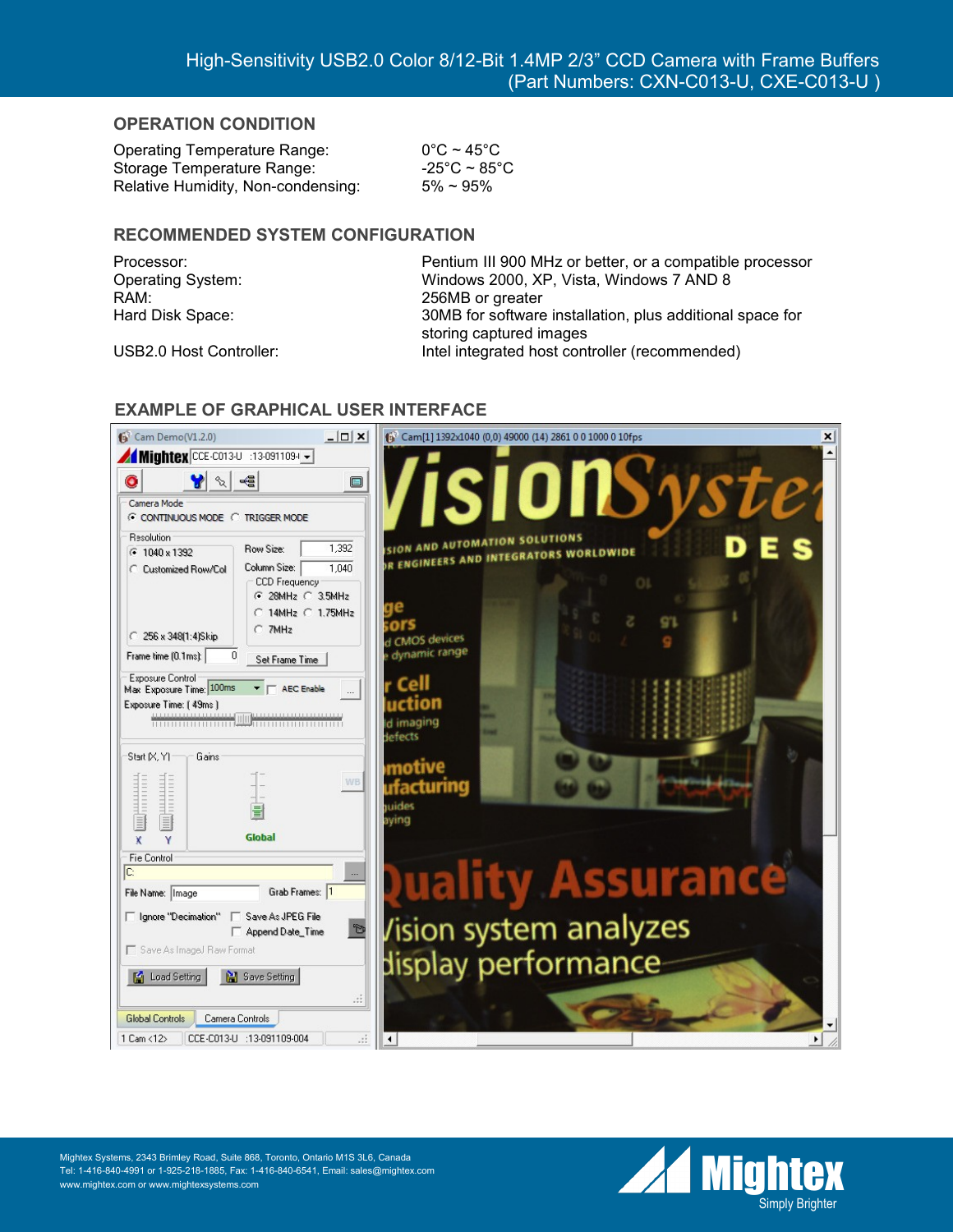### **OPERATION CONDITION**

Operating Temperature Range: 0°C ~ 45°C Storage Temperature Range:  $-25^{\circ}$ C ~ 85 $^{\circ}$ C Relative Humidity, Non-condensing:  $5\% \sim 95\%$ 

### **RECOMMENDED SYSTEM CONFIGURATION**

RAM: 256MB or greater

Processor: Pentium III 900 MHz or better, or a compatible processor Operating System: Windows 2000, XP, Vista, Windows 7 AND 8 Hard Disk Space: 30MB for software installation, plus additional space for storing captured images USB2.0 Host Controller: Intel integrated host controller (recommended)



## **EXAMPLE OF GRAPHICAL USER INTERFACE**

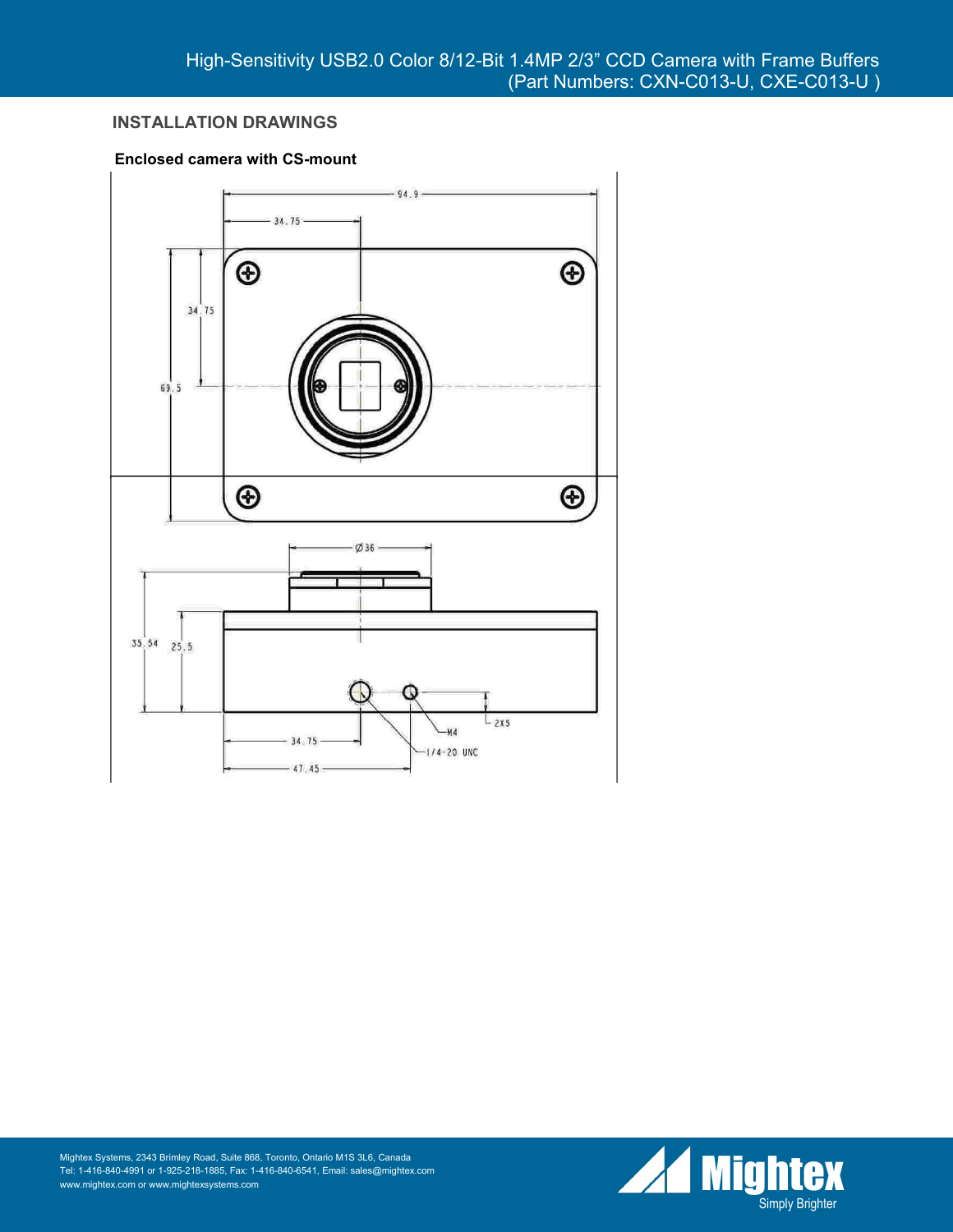# **INSTALLATION DRAWINGS**

#### **Enclosed camera with CS-mount**